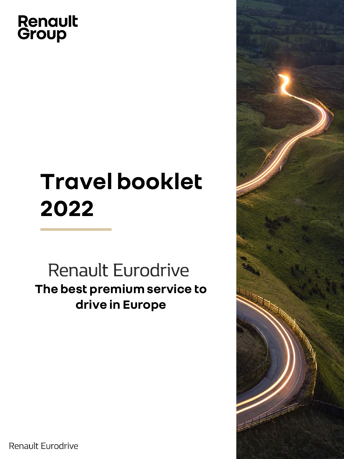# **Renault**<br>Group

# **Travel booklet 2022**

Renault Eurodrive **The best premium service to drive in Europe**



## Renault Eurodrive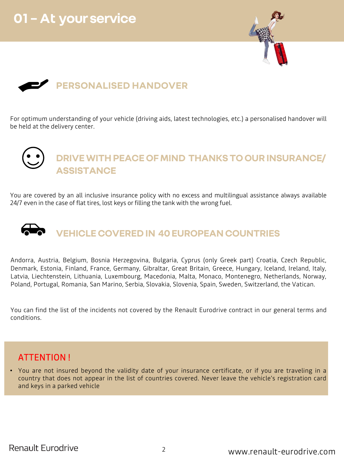





For optimum understanding of your vehicle (driving aids, latest technologies, etc.) a personalised handover will be held at the delivery center.

# **DRIVE WITH PEACE OF MIND THANKS TO OUR INSURANCE/ ASSISTANCE**

You are covered by an all inclusive insurance policy with no excess and multilingual assistance always available 24/7 even in the case of flat tires, lost keys or filling the tank with the wrong fuel.

# **VEHICLE COVERED IN 40 EUROPEAN COUNTRIES**

Andorra, Austria, Belgium, Bosnia Herzegovina, Bulgaria, Cyprus (only Greek part) Croatia, Czech Republic, Denmark, Estonia, Finland, France, Germany, Gibraltar, Great Britain, Greece, Hungary, Iceland, Ireland, Italy, Latvia, Liechtenstein, Lithuania, Luxembourg, Macedonia, Malta, Monaco, Montenegro, Netherlands, Norway, Poland, Portugal, Romania, San Marino, Serbia, Slovakia, Slovenia, Spain, Sweden, Switzerland, the Vatican.

You can find the list of the incidents not covered by the Renault Eurodrive contract in our general terms and conditions.

# ATTENTION !

• You are not insured beyond the validity date of your insurance certificate, or if you are traveling in a country that does not appear in the list of countries covered. Never leave the vehicle's registration card and keys in a parked vehicle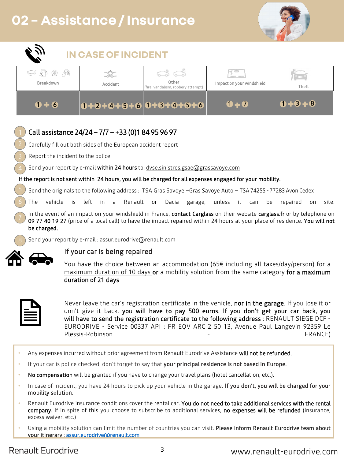#### Confidential C 3 www.renault-eurodrive.com

# **02 – Assistance / Insurance**





Carefully fill out both sides of the European accident report

Report the incident to the police

### If the report is not sent within 24 hours, you will be charged for all expenses engaged for your mobility.

Send the originals to the following address : TSA Gras Savoye -Gras Savoye Auto - TSA 74255 - 77283 Avon Cedex

In the event of an impact on your windshield in France, contact Carglass on their website carglass.fr or by telephone on 09 77 40 19 27 (price of a local call) to have the impact repaired within 24 hours at your place of residence. You will not be charged.

> You have the choice between an accommodation (65 $\epsilon$  including all taxes/day/person) for a maximum duration of 10 days or a mobility solution from the same category for a maximum duration of 21 days

Never leave the car's registration certificate in the vehicle, nor in the garage. If you lose it or don't give it back, you will have to pay 500 euros. If you don't get your car back, you will have to send the registration certificate to the following address : RENAULT SIEGE DCF -EURODRIVE - Service 00337 API : FR EQV ARC 2 50 13, Avenue Paul Langevin 92359 Le Plessis-Robinson **FRANCE**)

## If your car is being repaired

- Any expenses incurred without prior agreement from Renault Eurodrive Assistance will not be refunded.
- If your car is police checked, don't forget to say that your principal residence is not based in Europe.
- No compensation will be granted if you have to change your travel plans (hotel cancellation, etc.).
- In case of incident, you have 24 hours to pick up your vehicle in the garage. If you don't, you will be charged for your mobility solution.
- Renault Eurodrive insurance conditions cover the rental car. You do not need to take additional services with the rental company. If in spite of this you choose to subscribe to additional services, no expenses will be refunded (insurance, excess waiver, etc.)
- Using a mobility solution can limit the number of countries you can visit. Please inform Renault Eurodrive team about your itinerary : [assur.eurodrive@renault.com](mailto:assur.eurodrive@renault.com)

# **Renault Eurodrive**

Send your report by e-mail within 24 hours to: [dvse.sinistres.gsae@grassavoye.com](mailto:dvse.sinistres.gsae@grassavoye.com) 4

 $6$  ) The vehicle is left in a Renault or Dacia garage, unless it can be repaired on site. 6



7. Send your report by e-mail : assur.eurodrive@renault.com 8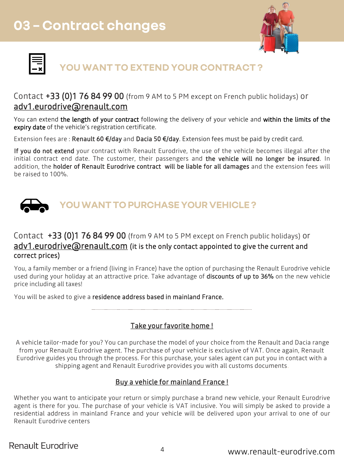

. <u>Confi</u>



# **YOU WANT TO EXTEND YOUR CONTRACT ?**

# Contact +33 (0)1 76 84 99 00 (from 9 AM to 5 PM except on French public holidays) or [adv1.eurodrive@renault.com](mailto:adv1.eurodrive@renault.com)

You can extend the length of your contract following the delivery of your vehicle and within the limits of the expiry date of the vehicle's registration certificate.

If you do not extend your contract with Renault Eurodrive, the use of the vehicle becomes illegal after the initial contract end date. The customer, their passengers and the vehicle will no longer be insured. In addition, the holder of Renault Eurodrive contract will be liable for all damages and the extension fees will be raised to 100%.

Extension fees are : Renault 60 €/day and Dacia 50 €/day. Extension fees must be paid by credit card.



# Contact +33 (0)1 76 84 99 00 (from 9 AM to 5 PM except on French public holidays) or adv1.eurodrive arenault.com (it is the only contact appointed to give the current and correct prices)

You, a family member or a friend (living in France) have the option of purchasing the Renault Eurodrive vehicle used during your holiday at an attractive price. Take advantage of discounts of up to 36% on the new vehicle price including all taxes!

You will be asked to give a residence address based in mainland France.

### Take your favorite home !

A vehicle tailor-made for you? You can purchase the model of your choice from the Renault and Dacia range from your Renault Eurodrive agent. The purchase of your vehicle is exclusive of VAT. Once again, Renault Eurodrive guides you through the process. For this purchase, your sales agent can put you in contact with a shipping agent and Renault Eurodrive provides you with all customs documents**.** 

## Buy a vehicle for mainland France !

Whether you want to anticipate your return or simply purchase a brand new vehicle, your Renault Eurodrive agent is there for you. The purchase of your vehicle is VAT inclusive. You will simply be asked to provide a residential address in mainland France and your vehicle will be delivered upon your arrival to one of our Renault Eurodrive centers